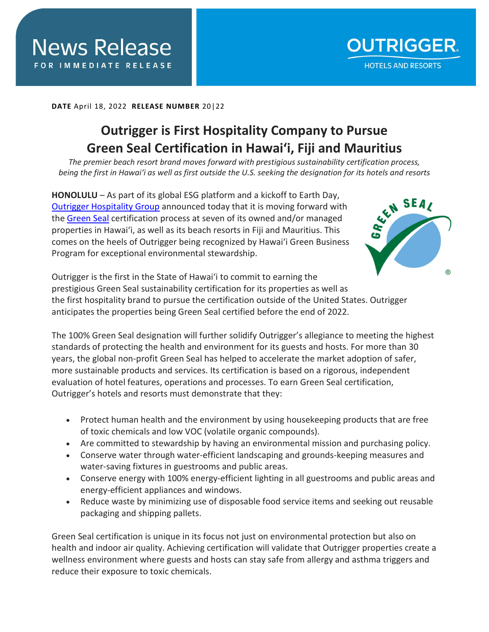**DATE** April 18, 2022 **RELEASE NUMBER** 20|22

**DATE** April X 2022 **RELEASE NUMBER** X|2022

## **Outrigger is First Hospitality Company to Pursue Green Seal Certification in Hawai'i, Fiji and Mauritius**

*The premier beach resort brand moves forward with prestigious sustainability certification process, being the first in Hawai'i as well as first outside the U.S. seeking the designation for its hotels and resorts*

**HONOLULU** – As part of its global ESG platform and a kickoff to Earth Day, [Outrigger Hospitality Group](https://www.outrigger.com/) announced today that it is moving forward with the [Green Seal](https://greenseal.org/) certification process at seven of its owned and/or managed properties in Hawai'i, as well as its beach resorts in Fiji and Mauritius. This comes on the heels of Outrigger being recognized by Hawai'i Green Business Program for exceptional environmental stewardship.



Outrigger is the first in the State of Hawai'i to commit to earning the prestigious Green Seal sustainability certification for its properties as well as the first hospitality brand to pursue the certification outside of the United States. Outrigger anticipates the properties being Green Seal certified before the end of 2022.

The 100% Green Seal designation will further solidify Outrigger's allegiance to meeting the highest standards of protecting the health and environment for its guests and hosts. For more than 30 years, the global non-profit Green Seal has helped to accelerate the market adoption of safer, more sustainable products and services. Its certification is based on a rigorous, independent evaluation of hotel features, operations and processes. To earn Green Seal certification, Outrigger's hotels and resorts must demonstrate that they:

- Protect human health and the environment by using housekeeping products that are free of toxic chemicals and low VOC (volatile organic compounds).
- Are committed to stewardship by having an environmental mission and purchasing policy.
- Conserve water through water-efficient landscaping and grounds-keeping measures and water-saving fixtures in guestrooms and public areas.
- Conserve energy with 100% energy-efficient lighting in all guestrooms and public areas and energy-efficient appliances and windows.
- Reduce waste by minimizing use of disposable food service items and seeking out reusable packaging and shipping pallets.

Green Seal certification is unique in its focus not just on environmental protection but also on health and indoor air quality. Achieving certification will validate that Outrigger properties create a wellness environment where guests and hosts can stay safe from allergy and asthma triggers and reduce their exposure to toxic chemicals.